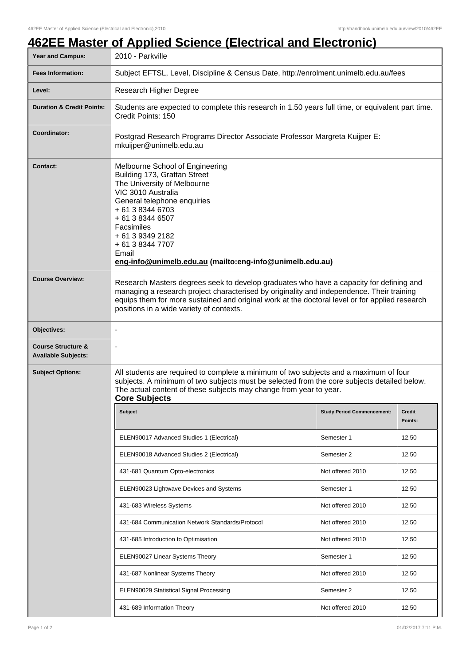## **462EE Master of Applied Science (Electrical and Electronic)**

| Year and Campus:                                            | 2010 - Parkville                                                                                                                                                                                                                                                                                                                   |                                   |                          |  |  |
|-------------------------------------------------------------|------------------------------------------------------------------------------------------------------------------------------------------------------------------------------------------------------------------------------------------------------------------------------------------------------------------------------------|-----------------------------------|--------------------------|--|--|
| <b>Fees Information:</b>                                    | Subject EFTSL, Level, Discipline & Census Date, http://enrolment.unimelb.edu.au/fees                                                                                                                                                                                                                                               |                                   |                          |  |  |
| Level:                                                      | Research Higher Degree                                                                                                                                                                                                                                                                                                             |                                   |                          |  |  |
| <b>Duration &amp; Credit Points:</b>                        | Students are expected to complete this research in 1.50 years full time, or equivalent part time.<br>Credit Points: 150                                                                                                                                                                                                            |                                   |                          |  |  |
| Coordinator:                                                | Postgrad Research Programs Director Associate Professor Margreta Kuijper E:<br>mkuijper@unimelb.edu.au                                                                                                                                                                                                                             |                                   |                          |  |  |
| <b>Contact:</b>                                             | Melbourne School of Engineering<br>Building 173, Grattan Street<br>The University of Melbourne<br>VIC 3010 Australia<br>General telephone enquiries<br>+ 61 3 8344 6703<br>+ 61 3 8344 6507<br>Facsimiles<br>+ 61 3 9349 2182<br>+ 61 3 8344 7707<br>Email<br>eng-info@unimelb.edu.au (mailto:eng-info@unimelb.edu.au)             |                                   |                          |  |  |
| <b>Course Overview:</b>                                     | Research Masters degrees seek to develop graduates who have a capacity for defining and<br>managing a research project characterised by originality and independence. Their training<br>equips them for more sustained and original work at the doctoral level or for applied research<br>positions in a wide variety of contexts. |                                   |                          |  |  |
| Objectives:                                                 |                                                                                                                                                                                                                                                                                                                                    |                                   |                          |  |  |
| <b>Course Structure &amp;</b><br><b>Available Subjects:</b> |                                                                                                                                                                                                                                                                                                                                    |                                   |                          |  |  |
| <b>Subject Options:</b>                                     | All students are required to complete a minimum of two subjects and a maximum of four<br>subjects. A minimum of two subjects must be selected from the core subjects detailed below.<br>The actual content of these subjects may change from year to year.<br><b>Core Subjects</b>                                                 |                                   |                          |  |  |
|                                                             | <b>Subject</b>                                                                                                                                                                                                                                                                                                                     | <b>Study Period Commencement:</b> | <b>Credit</b><br>Points: |  |  |
|                                                             | ELEN90017 Advanced Studies 1 (Electrical)                                                                                                                                                                                                                                                                                          | Semester 1                        | 12.50                    |  |  |
|                                                             | ELEN90018 Advanced Studies 2 (Electrical)                                                                                                                                                                                                                                                                                          | Semester 2                        | 12.50                    |  |  |
|                                                             | 431-681 Quantum Opto-electronics                                                                                                                                                                                                                                                                                                   | Not offered 2010                  | 12.50                    |  |  |
|                                                             | ELEN90023 Lightwave Devices and Systems                                                                                                                                                                                                                                                                                            | Semester 1                        | 12.50                    |  |  |
|                                                             | 431-683 Wireless Systems                                                                                                                                                                                                                                                                                                           | Not offered 2010                  | 12.50                    |  |  |
|                                                             | 431-684 Communication Network Standards/Protocol                                                                                                                                                                                                                                                                                   | Not offered 2010                  | 12.50                    |  |  |
|                                                             | 431-685 Introduction to Optimisation                                                                                                                                                                                                                                                                                               | Not offered 2010                  | 12.50                    |  |  |
|                                                             | ELEN90027 Linear Systems Theory                                                                                                                                                                                                                                                                                                    | Semester 1                        | 12.50                    |  |  |
|                                                             | 431-687 Nonlinear Systems Theory                                                                                                                                                                                                                                                                                                   | Not offered 2010                  | 12.50                    |  |  |
|                                                             | ELEN90029 Statistical Signal Processing                                                                                                                                                                                                                                                                                            | Semester 2                        | 12.50                    |  |  |
|                                                             | 431-689 Information Theory                                                                                                                                                                                                                                                                                                         | Not offered 2010                  | 12.50                    |  |  |